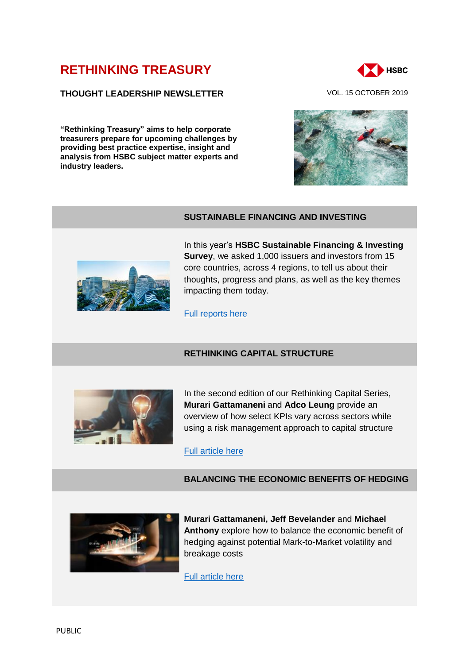# **[RETHINKING TREASURY](http://www.gbm.hsbc.com/the-new-future#rethinking-treasury)**

### **THOUGHT LEADERSHIP NEWSLETTER** VOL. 15 OCTOBER 2019

**"Rethinking Treasury" aims to help corporate treasurers prepare for upcoming challenges by providing best practice expertise, insight and analysis from HSBC subject matter experts and industry leaders.** 







**SUSTAINABLE FINANCING AND INVESTING**

In this year's **HSBC Sustainable Financing & Investing Survey**, we asked 1,000 issuers and investors from 15 core countries, across 4 regions, to tell us about their thoughts, progress and plans, as well as the key themes impacting them today.

[Full reports here](https://www.gbm.hsbc.com/insights/sustainable-financing/sustainable-financing-and-investing-survey-2019)

### **RETHINKING CAPITAL STRUCTURE**



In the second edition of our Rethinking Capital Series, **Murari Gattamaneni** and **Adco Leung** provide an overview of how select KPIs vary across sectors while using a risk management approach to capital structure

### [Full article here](https://www.gbm.hsbc.com/insights/markets/rethinking-capital-structure-series-part2)

## **BALANCING THE ECONOMIC BENEFITS OF HEDGING**



**Murari Gattamaneni, Jeff Bevelander** and **Michael Anthony** explore how to balance the economic benefit of hedging against potential Mark-to-Market volatility and breakage costs

[Full article here](https://www.gbm.hsbc.com/insights/markets/mark-to-market-volatility-and-breakage-costs)